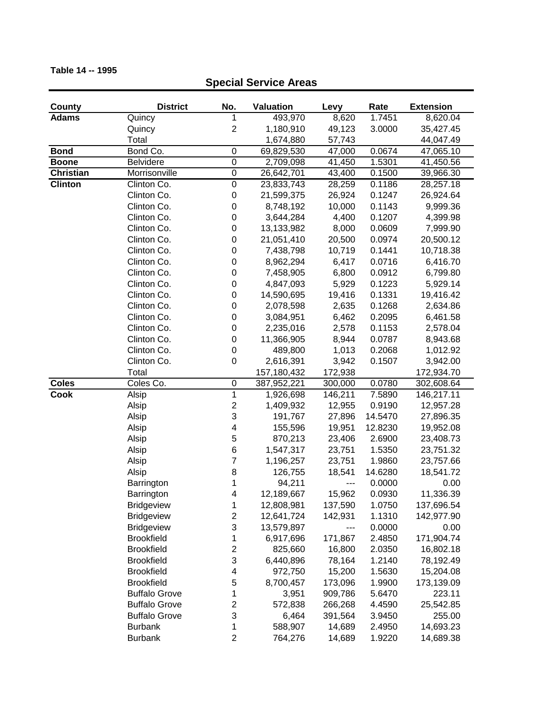### **County District No. Valuation Levy Rate Extension Adams** Quincy 1 493,970 8,620 1.7451 8,620.04 Quincy 2 1,180,910 49,123 3.0000 35,427.45 Total 1,674,880 57,743 44,047.49 **Bond** Bond Co. 0 69,829,530 47,000 0.0674 47,065.10 **Boone** Belvidere 0 2,709,098 41,450 1.5301 41,450.56 **Christian** Morrisonville 0 26,642,701 43,400 0.1500 39,966.30 **Clinton** Clinton Co. 0 23,833,743 28,259 0.1186 28,257.18 Clinton Co. 0 21,599,375 26,924 0.1247 26,924.64 Clinton Co. 0 8,748,192 10,000 0.1143 9,999.36 Clinton Co. 0 3,644,284 4,400 0.1207 4,399.98 Clinton Co. 0 13,133,982 8,000 0.0609 7,999.90 Clinton Co. 0 21,051,410 20,500 0.0974 20,500.12 Clinton Co. 0 7,438,798 10,719 0.1441 10,718.38 Clinton Co. 0 8,962,294 6,417 0.0716 6,416.70 Clinton Co. 0 7,458,905 6,800 0.0912 6,799.80 Clinton Co. 0 4,847,093 5,929 0.1223 5,929.14 Clinton Co. 0 14,590,695 19,416 0.1331 19,416.42 Clinton Co. 0 2,078,598 2,635 0.1268 2,634.86 Clinton Co. 0 3,084,951 6,462 0.2095 6,461.58 Clinton Co. 0 2,235,016 2,578 0.1153 2,578.04 Clinton Co. 0 11,366,905 8,944 0.0787 8,943.68 Clinton Co. 0 489,800 1,013 0.2068 1,012.92 Clinton Co. 0 2,616,391 3,942 0.1507 3,942.00 Total 157,180,432 172,938 172,934.70 **Coles** Coles Co. 0 387,952,221 300,000 0.0780 302,608.64 **Cook** Alsip 1 1,926,698 146,211 7.5890 146,217.11 Alsip 2 1,409,932 12,955 0.9190 12,957.28 Alsip 3 191,767 27,896 14.5470 27,896.35 Alsip 4 155,596 19,951 12.8230 19,952.08 Alsip 5 870,213 23,406 2.6900 23,408.73 Alsip 6 1,547,317 23,751 1.5350 23,751.32 Alsip 7 1,196,257 23,751 1.9860 23,757.66 Alsip 8 126,755 18,541 14.6280 18,541.72 Barrington 1 94,211 --- 0.0000 0.00 Barrington 4 12,189,667 15,962 0.0930 11,336.39 Bridgeview 1 12,808,981 137,590 1.0750 137,696.54 Bridgeview 2 12,641,724 142,931 1.1310 142,977.90 Bridgeview 3 13,579,897 --- 0.0000 0.00 Brookfield 1 6,917,696 171,867 2.4850 171,904.74

Brookfield 2 825,660 16,800 2.0350 16,802.18 Brookfield 3 6,440,896 78,164 1.2140 78,192.49 Brookfield 4 972,750 15,200 1.5630 15,204.08 Brookfield 5 8,700,457 173,096 1.9900 173,139.09 Buffalo Grove 1 3,951 909,786 5.6470 223.11 Buffalo Grove 2 572,838 266,268 4.4590 25,542.85 Buffalo Grove 3 6,464 391,564 3.9450 255.00 Burbank 1 588,907 14,689 2.4950 14,693.23 Burbank 2 764,276 14,689 1.9220 14,689.38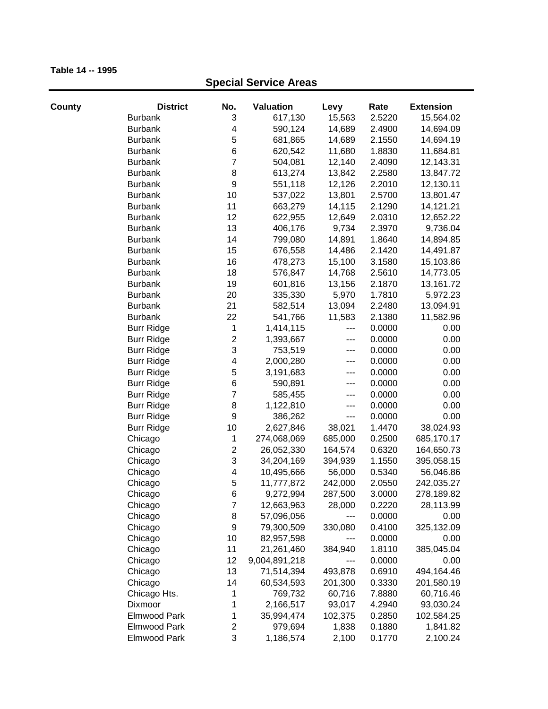| County | <b>District</b>     | No.                     | Valuation     | Levy    | Rate   | <b>Extension</b> |
|--------|---------------------|-------------------------|---------------|---------|--------|------------------|
|        | <b>Burbank</b>      | 3                       | 617,130       | 15,563  | 2.5220 | 15,564.02        |
|        | <b>Burbank</b>      | 4                       | 590,124       | 14,689  | 2.4900 | 14,694.09        |
|        | <b>Burbank</b>      | 5                       | 681,865       | 14,689  | 2.1550 | 14,694.19        |
|        | <b>Burbank</b>      | 6                       | 620,542       | 11,680  | 1.8830 | 11,684.81        |
|        | <b>Burbank</b>      | $\overline{7}$          | 504,081       | 12,140  | 2.4090 | 12,143.31        |
|        | <b>Burbank</b>      | 8                       | 613,274       | 13,842  | 2.2580 | 13,847.72        |
|        | <b>Burbank</b>      | $\boldsymbol{9}$        | 551,118       | 12,126  | 2.2010 | 12,130.11        |
|        | <b>Burbank</b>      | 10                      | 537,022       | 13,801  | 2.5700 | 13,801.47        |
|        | <b>Burbank</b>      | 11                      | 663,279       | 14,115  | 2.1290 | 14,121.21        |
|        | <b>Burbank</b>      | 12                      | 622,955       | 12,649  | 2.0310 | 12,652.22        |
|        | <b>Burbank</b>      | 13                      | 406,176       | 9,734   | 2.3970 | 9,736.04         |
|        | <b>Burbank</b>      | 14                      | 799,080       | 14,891  | 1.8640 | 14,894.85        |
|        | <b>Burbank</b>      | 15                      | 676,558       | 14,486  | 2.1420 | 14,491.87        |
|        | <b>Burbank</b>      | 16                      | 478,273       | 15,100  | 3.1580 | 15,103.86        |
|        | <b>Burbank</b>      | 18                      | 576,847       | 14,768  | 2.5610 | 14,773.05        |
|        | <b>Burbank</b>      | 19                      | 601,816       | 13,156  | 2.1870 | 13,161.72        |
|        | <b>Burbank</b>      | 20                      | 335,330       | 5,970   | 1.7810 | 5,972.23         |
|        | <b>Burbank</b>      | 21                      | 582,514       | 13,094  | 2.2480 | 13,094.91        |
|        | <b>Burbank</b>      | 22                      | 541,766       | 11,583  | 2.1380 | 11,582.96        |
|        | <b>Burr Ridge</b>   | 1                       | 1,414,115     | $---$   | 0.0000 | 0.00             |
|        | <b>Burr Ridge</b>   | $\boldsymbol{2}$        | 1,393,667     | $--$    | 0.0000 | 0.00             |
|        | <b>Burr Ridge</b>   | 3                       | 753,519       | $---$   | 0.0000 | 0.00             |
|        | <b>Burr Ridge</b>   | 4                       | 2,000,280     | $---$   | 0.0000 | 0.00             |
|        | <b>Burr Ridge</b>   | $\mathbf 5$             | 3,191,683     | $---$   | 0.0000 | 0.00             |
|        | <b>Burr Ridge</b>   | 6                       | 590,891       | ---     | 0.0000 | 0.00             |
|        | <b>Burr Ridge</b>   | $\overline{7}$          | 585,455       | ---     | 0.0000 | 0.00             |
|        | <b>Burr Ridge</b>   | 8                       | 1,122,810     | ---     | 0.0000 | 0.00             |
|        | <b>Burr Ridge</b>   | 9                       | 386,262       | $---$   | 0.0000 | 0.00             |
|        | <b>Burr Ridge</b>   | 10                      | 2,627,846     | 38,021  | 1.4470 | 38,024.93        |
|        | Chicago             | 1                       | 274,068,069   | 685,000 | 0.2500 | 685,170.17       |
|        | Chicago             | $\boldsymbol{2}$        | 26,052,330    | 164,574 | 0.6320 | 164,650.73       |
|        | Chicago             | 3                       | 34,204,169    | 394,939 | 1.1550 | 395,058.15       |
|        | Chicago             | $\overline{\mathbf{4}}$ | 10,495,666    | 56,000  | 0.5340 | 56,046.86        |
|        | Chicago             | 5                       | 11,777,872    | 242,000 | 2.0550 | 242,035.27       |
|        | Chicago             | 6                       | 9,272,994     | 287,500 | 3.0000 | 278,189.82       |
|        | Chicago             | $\overline{7}$          | 12,663,963    | 28,000  | 0.2220 | 28,113.99        |
|        | Chicago             | 8                       | 57,096,056    |         | 0.0000 | 0.00             |
|        | Chicago             | 9                       | 79,300,509    | 330,080 | 0.4100 | 325,132.09       |
|        | Chicago             | 10                      | 82,957,598    |         | 0.0000 | 0.00             |
|        | Chicago             | 11                      | 21,261,460    | 384,940 | 1.8110 | 385,045.04       |
|        | Chicago             | 12                      | 9,004,891,218 |         | 0.0000 | 0.00             |
|        | Chicago             | 13                      | 71,514,394    | 493,878 | 0.6910 | 494,164.46       |
|        | Chicago             | 14                      | 60,534,593    | 201,300 | 0.3330 | 201,580.19       |
|        | Chicago Hts.        | 1                       | 769,732       | 60,716  | 7.8880 | 60,716.46        |
|        | Dixmoor             | 1                       | 2,166,517     | 93,017  | 4.2940 | 93,030.24        |
|        | <b>Elmwood Park</b> | 1                       | 35,994,474    | 102,375 | 0.2850 | 102,584.25       |
|        | Elmwood Park        | $\overline{2}$          | 979,694       | 1,838   | 0.1880 | 1,841.82         |
|        | Elmwood Park        | 3                       | 1,186,574     | 2,100   | 0.1770 | 2,100.24         |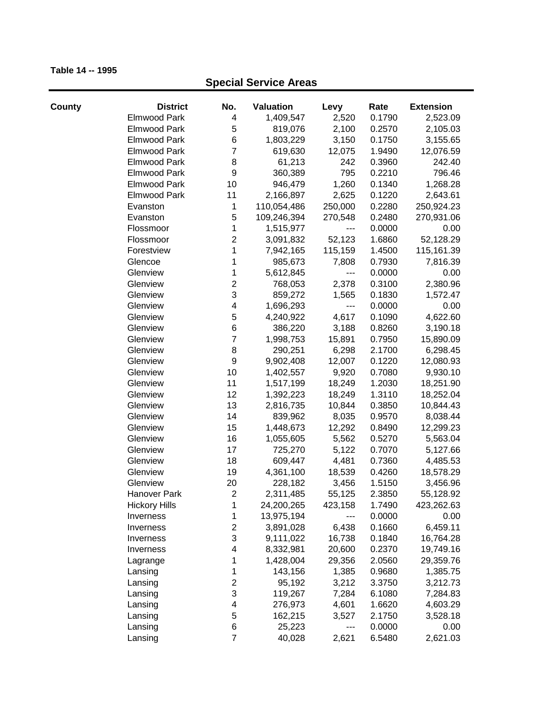| County | <b>District</b>      | No.                     | Valuation   | Levy    | Rate   | <b>Extension</b> |
|--------|----------------------|-------------------------|-------------|---------|--------|------------------|
|        | <b>Elmwood Park</b>  | 4                       | 1,409,547   | 2,520   | 0.1790 | 2,523.09         |
|        | <b>Elmwood Park</b>  | 5                       | 819,076     | 2,100   | 0.2570 | 2,105.03         |
|        | <b>Elmwood Park</b>  | 6                       | 1,803,229   | 3,150   | 0.1750 | 3,155.65         |
|        | Elmwood Park         | 7                       | 619,630     | 12,075  | 1.9490 | 12,076.59        |
|        | <b>Elmwood Park</b>  | 8                       | 61,213      | 242     | 0.3960 | 242.40           |
|        | <b>Elmwood Park</b>  | 9                       | 360,389     | 795     | 0.2210 | 796.46           |
|        | <b>Elmwood Park</b>  | 10                      | 946,479     | 1,260   | 0.1340 | 1,268.28         |
|        | Elmwood Park         | 11                      | 2,166,897   | 2,625   | 0.1220 | 2,643.61         |
|        | Evanston             | 1                       | 110,054,486 | 250,000 | 0.2280 | 250,924.23       |
|        | Evanston             | 5                       | 109,246,394 | 270,548 | 0.2480 | 270,931.06       |
|        | Flossmoor            | 1                       | 1,515,977   |         | 0.0000 | 0.00             |
|        | Flossmoor            | $\mathbf 2$             | 3,091,832   | 52,123  | 1.6860 | 52,128.29        |
|        | Forestview           | $\mathbf{1}$            | 7,942,165   | 115,159 | 1.4500 | 115,161.39       |
|        | Glencoe              | 1                       | 985,673     | 7,808   | 0.7930 | 7,816.39         |
|        | Glenview             | 1                       | 5,612,845   | $---$   | 0.0000 | 0.00             |
|        | Glenview             | $\mathbf 2$             | 768,053     | 2,378   | 0.3100 | 2,380.96         |
|        | Glenview             | 3                       | 859,272     | 1,565   | 0.1830 | 1,572.47         |
|        | Glenview             | 4                       | 1,696,293   | ---     | 0.0000 | 0.00             |
|        | Glenview             | 5                       | 4,240,922   | 4,617   | 0.1090 | 4,622.60         |
|        | Glenview             | 6                       | 386,220     | 3,188   | 0.8260 | 3,190.18         |
|        | Glenview             | $\overline{7}$          | 1,998,753   | 15,891  | 0.7950 | 15,890.09        |
|        | Glenview             | 8                       | 290,251     | 6,298   | 2.1700 | 6,298.45         |
|        | Glenview             | $\boldsymbol{9}$        | 9,902,408   | 12,007  | 0.1220 | 12,080.93        |
|        | Glenview             | 10                      | 1,402,557   | 9,920   | 0.7080 | 9,930.10         |
|        | Glenview             | 11                      | 1,517,199   | 18,249  | 1.2030 | 18,251.90        |
|        | Glenview             | 12                      | 1,392,223   | 18,249  | 1.3110 | 18,252.04        |
|        | Glenview             | 13                      | 2,816,735   | 10,844  | 0.3850 | 10,844.43        |
|        | Glenview             | 14                      | 839,962     | 8,035   | 0.9570 | 8,038.44         |
|        | Glenview             | 15                      | 1,448,673   | 12,292  | 0.8490 | 12,299.23        |
|        | Glenview             | 16                      | 1,055,605   | 5,562   | 0.5270 | 5,563.04         |
|        | Glenview             | 17                      | 725,270     | 5,122   | 0.7070 | 5,127.66         |
|        | Glenview             | 18                      | 609,447     | 4,481   | 0.7360 | 4,485.53         |
|        | Glenview             | 19                      | 4,361,100   | 18,539  | 0.4260 | 18,578.29        |
|        | Glenview             | 20                      | 228,182     | 3,456   | 1.5150 | 3,456.96         |
|        | Hanover Park         | $\overline{2}$          | 2,311,485   | 55,125  | 2.3850 | 55,128.92        |
|        | <b>Hickory Hills</b> | 1                       | 24,200,265  | 423,158 | 1.7490 | 423,262.63       |
|        | Inverness            | 1                       | 13,975,194  | $---$   | 0.0000 | 0.00             |
|        | Inverness            | $\overline{\mathbf{c}}$ | 3,891,028   | 6,438   | 0.1660 | 6,459.11         |
|        | Inverness            | 3                       | 9,111,022   | 16,738  | 0.1840 | 16,764.28        |
|        | Inverness            | 4                       | 8,332,981   | 20,600  | 0.2370 | 19,749.16        |
|        | Lagrange             | 1                       | 1,428,004   | 29,356  | 2.0560 | 29,359.76        |
|        | Lansing              | 1                       | 143,156     | 1,385   | 0.9680 | 1,385.75         |
|        | Lansing              | $\mathbf 2$             | 95,192      | 3,212   | 3.3750 | 3,212.73         |
|        | Lansing              | 3                       | 119,267     | 7,284   | 6.1080 | 7,284.83         |
|        | Lansing              | 4                       | 276,973     | 4,601   | 1.6620 | 4,603.29         |
|        | Lansing              | 5                       | 162,215     | 3,527   | 2.1750 | 3,528.18         |
|        | Lansing              | 6                       | 25,223      | ---     | 0.0000 | 0.00             |
|        | Lansing              | $\overline{7}$          | 40,028      | 2,621   | 6.5480 | 2,621.03         |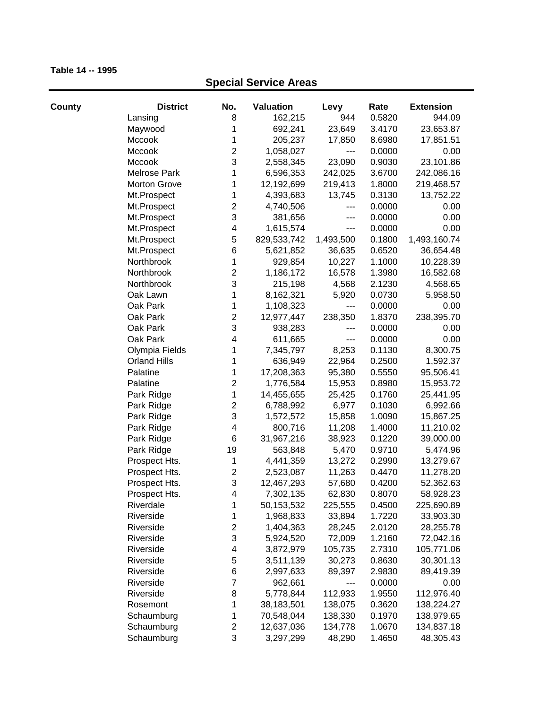| County | <b>District</b>     | No.                     | <b>Valuation</b> | Levy      | Rate   | <b>Extension</b> |
|--------|---------------------|-------------------------|------------------|-----------|--------|------------------|
|        | Lansing             | 8                       | 162,215          | 944       | 0.5820 | 944.09           |
|        | Maywood             | 1                       | 692,241          | 23,649    | 3.4170 | 23,653.87        |
|        | Mccook              | 1                       | 205,237          | 17,850    | 8.6980 | 17,851.51        |
|        | Mccook              | $\overline{\mathbf{c}}$ | 1,058,027        | ---       | 0.0000 | 0.00             |
|        | Mccook              | 3                       | 2,558,345        | 23,090    | 0.9030 | 23,101.86        |
|        | Melrose Park        | 1                       | 6,596,353        | 242,025   | 3.6700 | 242,086.16       |
|        | <b>Morton Grove</b> | 1                       | 12,192,699       | 219,413   | 1.8000 | 219,468.57       |
|        | Mt.Prospect         | 1                       | 4,393,683        | 13,745    | 0.3130 | 13,752.22        |
|        | Mt.Prospect         | $\overline{c}$          | 4,740,506        | ---       | 0.0000 | 0.00             |
|        | Mt.Prospect         | 3                       | 381,656          | ---       | 0.0000 | 0.00             |
|        | Mt.Prospect         | 4                       | 1,615,574        | ---       | 0.0000 | 0.00             |
|        | Mt.Prospect         | 5                       | 829,533,742      | 1,493,500 | 0.1800 | 1,493,160.74     |
|        | Mt.Prospect         | 6                       | 5,621,852        | 36,635    | 0.6520 | 36,654.48        |
|        | Northbrook          | 1                       | 929,854          | 10,227    | 1.1000 | 10,228.39        |
|        | Northbrook          | $\overline{c}$          | 1,186,172        | 16,578    | 1.3980 | 16,582.68        |
|        | Northbrook          | 3                       | 215,198          | 4,568     | 2.1230 | 4,568.65         |
|        | Oak Lawn            | 1                       | 8,162,321        | 5,920     | 0.0730 | 5,958.50         |
|        | Oak Park            | 1                       | 1,108,323        | ---       | 0.0000 | 0.00             |
|        | Oak Park            | $\overline{c}$          | 12,977,447       | 238,350   | 1.8370 | 238,395.70       |
|        | Oak Park            | 3                       | 938,283          | ---       | 0.0000 | 0.00             |
|        | Oak Park            | 4                       | 611,665          | $---$     | 0.0000 | 0.00             |
|        | Olympia Fields      | 1                       | 7,345,797        | 8,253     | 0.1130 | 8,300.75         |
|        | <b>Orland Hills</b> | 1                       | 636,949          | 22,964    | 0.2500 | 1,592.37         |
|        | Palatine            | 1                       | 17,208,363       | 95,380    | 0.5550 | 95,506.41        |
|        | Palatine            | $\mathbf 2$             | 1,776,584        | 15,953    | 0.8980 | 15,953.72        |
|        | Park Ridge          | $\mathbf{1}$            | 14,455,655       | 25,425    | 0.1760 | 25,441.95        |
|        | Park Ridge          | $\overline{\mathbf{c}}$ | 6,788,992        | 6,977     | 0.1030 | 6,992.66         |
|        | Park Ridge          | 3                       | 1,572,572        | 15,858    | 1.0090 | 15,867.25        |
|        | Park Ridge          | $\overline{\mathbf{4}}$ | 800,716          | 11,208    | 1.4000 | 11,210.02        |
|        | Park Ridge          | 6                       | 31,967,216       | 38,923    | 0.1220 | 39,000.00        |
|        | Park Ridge          | 19                      | 563,848          | 5,470     | 0.9710 | 5,474.96         |
|        | Prospect Hts.       | 1                       | 4,441,359        | 13,272    | 0.2990 | 13,279.67        |
|        | Prospect Hts.       | $\overline{\mathbf{c}}$ | 2,523,087        | 11,263    | 0.4470 | 11,278.20        |
|        | Prospect Hts.       | 3                       | 12,467,293       | 57,680    | 0.4200 | 52,362.63        |
|        | Prospect Hts.       | 4                       | 7,302,135        | 62,830    | 0.8070 | 58,928.23        |
|        | Riverdale           | 1                       | 50,153,532       | 225,555   | 0.4500 | 225,690.89       |
|        | Riverside           | 1                       | 1,968,833        | 33,894    | 1.7220 | 33,903.30        |
|        | Riverside           | $\overline{\mathbf{c}}$ | 1,404,363        | 28,245    | 2.0120 | 28,255.78        |
|        | Riverside           | 3                       | 5,924,520        | 72,009    | 1.2160 | 72,042.16        |
|        | Riverside           | 4                       | 3,872,979        | 105,735   | 2.7310 | 105,771.06       |
|        | Riverside           | 5                       | 3,511,139        | 30,273    | 0.8630 | 30,301.13        |
|        | Riverside           | 6                       | 2,997,633        | 89,397    | 2.9830 | 89,419.39        |
|        | Riverside           | $\overline{7}$          | 962,661          | ---       | 0.0000 | 0.00             |
|        | Riverside           | 8                       | 5,778,844        | 112,933   | 1.9550 | 112,976.40       |
|        | Rosemont            | 1                       | 38,183,501       | 138,075   | 0.3620 | 138,224.27       |
|        | Schaumburg          | 1                       | 70,548,044       | 138,330   | 0.1970 | 138,979.65       |
|        | Schaumburg          | $\boldsymbol{2}$        | 12,637,036       | 134,778   | 1.0670 | 134,837.18       |
|        | Schaumburg          | 3                       | 3,297,299        | 48,290    | 1.4650 | 48,305.43        |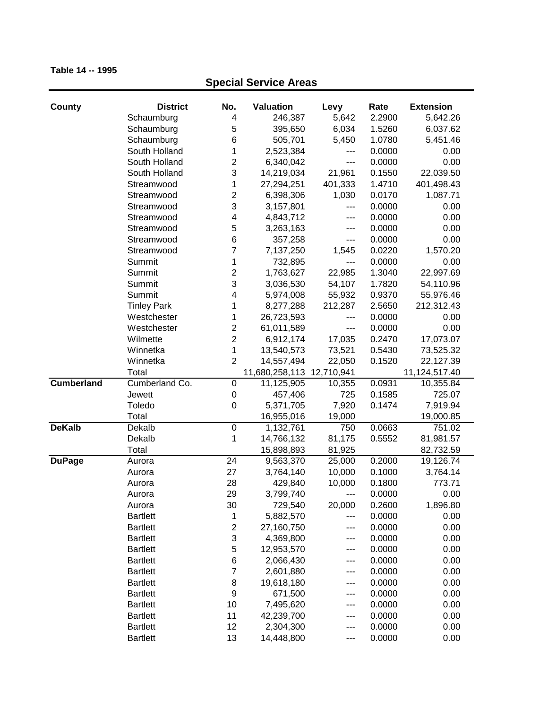| County            | <b>District</b>    | No.                     | Valuation                 | Levy             | Rate   | <b>Extension</b>           |
|-------------------|--------------------|-------------------------|---------------------------|------------------|--------|----------------------------|
|                   | Schaumburg         | 4                       | 246,387                   | 5,642            | 2.2900 | 5,642.26                   |
|                   | Schaumburg         | 5                       | 395,650                   | 6,034            | 1.5260 | 6,037.62                   |
|                   | Schaumburg         | 6                       | 505,701                   | 5,450            | 1.0780 | 5,451.46                   |
|                   | South Holland      | 1                       | 2,523,384                 | ---              | 0.0000 | 0.00                       |
|                   | South Holland      | $\overline{\mathbf{c}}$ | 6,340,042                 | ---              | 0.0000 | 0.00                       |
|                   | South Holland      | 3                       | 14,219,034                | 21,961           | 0.1550 | 22,039.50                  |
|                   | Streamwood         | 1                       | 27,294,251                | 401,333          | 1.4710 | 401,498.43                 |
|                   | Streamwood         | $\overline{2}$          | 6,398,306                 | 1,030            | 0.0170 | 1,087.71                   |
|                   | Streamwood         | 3                       | 3,157,801                 | ---              | 0.0000 | 0.00                       |
|                   | Streamwood         | 4                       | 4,843,712                 | ---              | 0.0000 | 0.00                       |
|                   | Streamwood         | 5                       | 3,263,163                 | ---              | 0.0000 | 0.00                       |
|                   | Streamwood         | 6                       | 357,258                   | ---              | 0.0000 | 0.00                       |
|                   | Streamwood         | 7                       | 7,137,250                 | 1,545            | 0.0220 | 1,570.20                   |
|                   | Summit             | 1                       | 732,895                   | ---              | 0.0000 | 0.00                       |
|                   | Summit             | $\overline{\mathbf{c}}$ | 1,763,627                 | 22,985           | 1.3040 | 22,997.69                  |
|                   | Summit             | 3                       | 3,036,530                 | 54,107           | 1.7820 | 54,110.96                  |
|                   | Summit             | 4                       | 5,974,008                 | 55,932           | 0.9370 | 55,976.46                  |
|                   | <b>Tinley Park</b> | 1                       | 8,277,288                 | 212,287          | 2.5650 | 212,312.43                 |
|                   | Westchester        | 1                       | 26,723,593                | ---              | 0.0000 | 0.00                       |
|                   | Westchester        | $\overline{2}$          |                           |                  | 0.0000 | 0.00                       |
|                   | Wilmette           | $\overline{\mathbf{c}}$ | 61,011,589                | ---              | 0.2470 |                            |
|                   | Winnetka           | 1                       | 6,912,174                 | 17,035           | 0.5430 | 17,073.07                  |
|                   | Winnetka           | $\overline{2}$          | 13,540,573<br>14,557,494  | 73,521<br>22,050 | 0.1520 | 73,525.32                  |
|                   | Total              |                         | 11,680,258,113 12,710,941 |                  |        | 22,127.39<br>11,124,517.40 |
| <b>Cumberland</b> | Cumberland Co.     | $\pmb{0}$               | 11,125,905                | 10,355           | 0.0931 | 10,355.84                  |
|                   | Jewett             | $\mathbf 0$             | 457,406                   | 725              | 0.1585 | 725.07                     |
|                   | Toledo             | $\mathbf 0$             | 5,371,705                 | 7,920            | 0.1474 | 7,919.94                   |
|                   | Total              |                         | 16,955,016                | 19,000           |        | 19,000.85                  |
| <b>DeKalb</b>     | Dekalb             | $\boldsymbol{0}$        | 1,132,761                 | 750              | 0.0663 | 751.02                     |
|                   | Dekalb             | 1                       | 14,766,132                | 81,175           | 0.5552 | 81,981.57                  |
|                   | Total              |                         | 15,898,893                | 81,925           |        | 82,732.59                  |
| <b>DuPage</b>     | Aurora             | 24                      | 9,563,370                 | 25,000           | 0.2000 | 19,126.74                  |
|                   | Aurora             | 27                      | 3,764,140                 | 10,000           | 0.1000 | 3,764.14                   |
|                   | Aurora             | 28                      | 429,840                   | 10,000           | 0.1800 | 773.71                     |
|                   | Aurora             | 29                      | 3,799,740                 | ---              | 0.0000 | 0.00                       |
|                   | Aurora             | 30                      | 729,540                   | 20,000           | 0.2600 | 1,896.80                   |
|                   | <b>Bartlett</b>    | 1                       | 5,882,570                 | ---              | 0.0000 | 0.00                       |
|                   | <b>Bartlett</b>    | $\overline{\mathbf{c}}$ | 27,160,750                | ---              | 0.0000 | 0.00                       |
|                   | <b>Bartlett</b>    | 3                       | 4,369,800                 | ---              | 0.0000 | 0.00                       |
|                   | <b>Bartlett</b>    | 5                       | 12,953,570                | ---              | 0.0000 | 0.00                       |
|                   | <b>Bartlett</b>    | 6                       | 2,066,430                 | ---              | 0.0000 | 0.00                       |
|                   | <b>Bartlett</b>    | 7                       | 2,601,880                 | ---              | 0.0000 | 0.00                       |
|                   | <b>Bartlett</b>    | 8                       | 19,618,180                | ---              | 0.0000 | 0.00                       |
|                   | <b>Bartlett</b>    | 9                       | 671,500                   | ---              | 0.0000 | 0.00                       |
|                   | <b>Bartlett</b>    | 10                      | 7,495,620                 | ---              | 0.0000 | 0.00                       |
|                   | <b>Bartlett</b>    | 11                      | 42,239,700                | ---              | 0.0000 | 0.00                       |
|                   | <b>Bartlett</b>    | 12                      | 2,304,300                 | ---              | 0.0000 | 0.00                       |
|                   | <b>Bartlett</b>    | 13                      | 14,448,800                | ---              | 0.0000 | 0.00                       |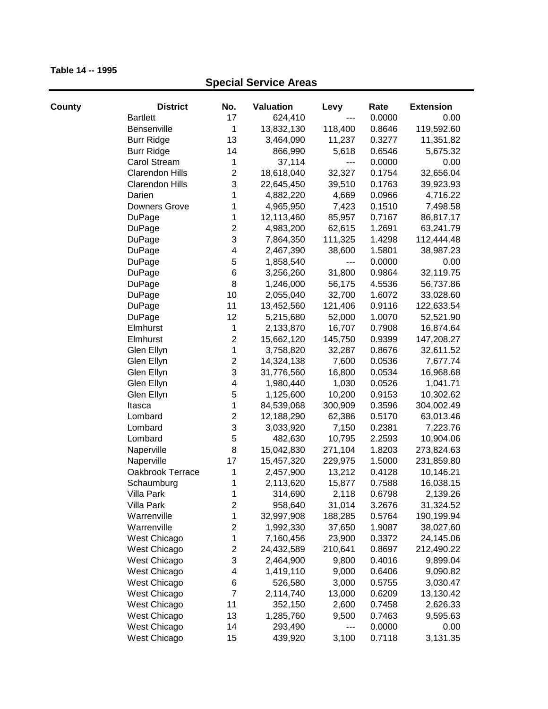| County | <b>District</b>        | No.              | <b>Valuation</b> | Levy    | Rate   | <b>Extension</b> |
|--------|------------------------|------------------|------------------|---------|--------|------------------|
|        | <b>Bartlett</b>        | 17               | 624,410          |         | 0.0000 | 0.00             |
|        | Bensenville            | 1                | 13,832,130       | 118,400 | 0.8646 | 119,592.60       |
|        | <b>Burr Ridge</b>      | 13               | 3,464,090        | 11,237  | 0.3277 | 11,351.82        |
|        | <b>Burr Ridge</b>      | 14               | 866,990          | 5,618   | 0.6546 | 5,675.32         |
|        | Carol Stream           | 1                | 37,114           | $---$   | 0.0000 | 0.00             |
|        | <b>Clarendon Hills</b> | $\mathbf 2$      | 18,618,040       | 32,327  | 0.1754 | 32,656.04        |
|        | <b>Clarendon Hills</b> | 3                | 22,645,450       | 39,510  | 0.1763 | 39,923.93        |
|        | Darien                 | 1                | 4,882,220        | 4,669   | 0.0966 | 4,716.22         |
|        | Downers Grove          | 1                | 4,965,950        | 7,423   | 0.1510 | 7,498.58         |
|        | DuPage                 | 1                | 12,113,460       | 85,957  | 0.7167 | 86,817.17        |
|        | DuPage                 | $\overline{c}$   | 4,983,200        | 62,615  | 1.2691 | 63,241.79        |
|        | DuPage                 | 3                | 7,864,350        | 111,325 | 1.4298 | 112,444.48       |
|        | DuPage                 | 4                | 2,467,390        | 38,600  | 1.5801 | 38,987.23        |
|        | DuPage                 | $\mathbf 5$      | 1,858,540        | $---$   | 0.0000 | 0.00             |
|        | DuPage                 | $\,6$            | 3,256,260        | 31,800  | 0.9864 | 32,119.75        |
|        | <b>DuPage</b>          | 8                | 1,246,000        | 56,175  | 4.5536 | 56,737.86        |
|        | DuPage                 | 10               | 2,055,040        | 32,700  | 1.6072 | 33,028.60        |
|        | DuPage                 | 11               | 13,452,560       | 121,406 | 0.9116 | 122,633.54       |
|        | <b>DuPage</b>          | 12               | 5,215,680        | 52,000  | 1.0070 | 52,521.90        |
|        | Elmhurst               | 1                | 2,133,870        | 16,707  | 0.7908 | 16,874.64        |
|        | Elmhurst               | $\mathbf 2$      | 15,662,120       | 145,750 | 0.9399 | 147,208.27       |
|        | Glen Ellyn             | 1                | 3,758,820        | 32,287  | 0.8676 | 32,611.52        |
|        | Glen Ellyn             | $\boldsymbol{2}$ | 14,324,138       | 7,600   | 0.0536 | 7,677.74         |
|        | Glen Ellyn             | 3                | 31,776,560       | 16,800  | 0.0534 | 16,968.68        |
|        | Glen Ellyn             | 4                | 1,980,440        | 1,030   | 0.0526 | 1,041.71         |
|        | Glen Ellyn             | $\mathbf 5$      | 1,125,600        | 10,200  | 0.9153 | 10,302.62        |
|        | Itasca                 | $\mathbf 1$      | 84,539,068       | 300,909 | 0.3596 | 304,002.49       |
|        | Lombard                | $\boldsymbol{2}$ | 12,188,290       | 62,386  | 0.5170 | 63,013.46        |
|        | Lombard                | 3                | 3,033,920        | 7,150   | 0.2381 | 7,223.76         |
|        | Lombard                | 5                | 482,630          | 10,795  | 2.2593 | 10,904.06        |
|        | Naperville             | 8                | 15,042,830       | 271,104 | 1.8203 | 273,824.63       |
|        | Naperville             | 17               | 15,457,320       | 229,975 | 1.5000 | 231,859.80       |
|        | Oakbrook Terrace       | 1                | 2,457,900        | 13,212  | 0.4128 | 10,146.21        |
|        | Schaumburg             | 1                | 2,113,620        | 15,877  | 0.7588 | 16,038.15        |
|        | Villa Park             | 1                | 314,690          | 2,118   | 0.6798 | 2,139.26         |
|        | Villa Park             | 2                | 958,640          | 31,014  | 3.2676 | 31,324.52        |
|        | Warrenville            | 1                | 32,997,908       | 188,285 | 0.5764 | 190,199.94       |
|        | Warrenville            | $\mathbf 2$      | 1,992,330        | 37,650  | 1.9087 | 38,027.60        |
|        | West Chicago           | 1                | 7,160,456        | 23,900  | 0.3372 | 24,145.06        |
|        | West Chicago           | $\overline{c}$   | 24,432,589       | 210,641 | 0.8697 | 212,490.22       |
|        | West Chicago           | 3                | 2,464,900        | 9,800   | 0.4016 | 9,899.04         |
|        | West Chicago           | 4                | 1,419,110        | 9,000   | 0.6406 | 9,090.82         |
|        | West Chicago           | 6                | 526,580          | 3,000   | 0.5755 | 3,030.47         |
|        | West Chicago           | $\overline{7}$   | 2,114,740        | 13,000  | 0.6209 | 13,130.42        |
|        | West Chicago           | 11               | 352,150          | 2,600   | 0.7458 | 2,626.33         |
|        | West Chicago           | 13               | 1,285,760        | 9,500   | 0.7463 | 9,595.63         |
|        | West Chicago           | 14               | 293,490          | ---     | 0.0000 | 0.00             |
|        | West Chicago           | 15               | 439,920          | 3,100   | 0.7118 | 3,131.35         |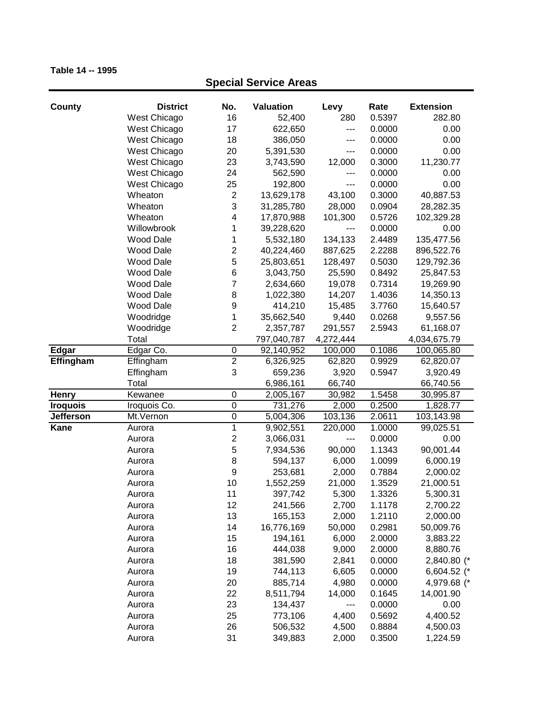| County           | <b>District</b>  | No.                     | Valuation   | Levy      | Rate   | <b>Extension</b> |
|------------------|------------------|-------------------------|-------------|-----------|--------|------------------|
|                  | West Chicago     | 16                      | 52,400      | 280       | 0.5397 | 282.80           |
|                  | West Chicago     | 17                      | 622,650     | $---$     | 0.0000 | 0.00             |
|                  | West Chicago     | 18                      | 386,050     | ---       | 0.0000 | 0.00             |
|                  | West Chicago     | 20                      | 5,391,530   | ---       | 0.0000 | 0.00             |
|                  | West Chicago     | 23                      | 3,743,590   | 12,000    | 0.3000 | 11,230.77        |
|                  | West Chicago     | 24                      | 562,590     | ---       | 0.0000 | 0.00             |
|                  | West Chicago     | 25                      | 192,800     | ---       | 0.0000 | 0.00             |
|                  | Wheaton          | $\overline{c}$          | 13,629,178  | 43,100    | 0.3000 | 40,887.53        |
|                  | Wheaton          | 3                       | 31,285,780  | 28,000    | 0.0904 | 28,282.35        |
|                  | Wheaton          | 4                       | 17,870,988  | 101,300   | 0.5726 | 102,329.28       |
|                  | Willowbrook      | 1                       | 39,228,620  | ---       | 0.0000 | 0.00             |
|                  | Wood Dale        | 1                       | 5,532,180   | 134,133   | 2.4489 | 135,477.56       |
|                  | Wood Dale        | $\overline{\mathbf{c}}$ | 40,224,460  | 887,625   | 2.2288 | 896,522.76       |
|                  | Wood Dale        | 5                       | 25,803,651  | 128,497   | 0.5030 | 129,792.36       |
|                  | Wood Dale        | 6                       | 3,043,750   | 25,590    | 0.8492 | 25,847.53        |
|                  | <b>Wood Dale</b> | 7                       | 2,634,660   | 19,078    | 0.7314 | 19,269.90        |
|                  | Wood Dale        | 8                       | 1,022,380   | 14,207    | 1.4036 | 14,350.13        |
|                  | <b>Wood Dale</b> | 9                       | 414,210     | 15,485    | 3.7760 | 15,640.57        |
|                  | Woodridge        | 1                       | 35,662,540  | 9,440     | 0.0268 | 9,557.56         |
|                  | Woodridge        | $\overline{2}$          | 2,357,787   | 291,557   | 2.5943 | 61,168.07        |
|                  | Total            |                         | 797,040,787 | 4,272,444 |        | 4,034,675.79     |
| <b>Edgar</b>     | Edgar Co.        | $\mathbf 0$             | 92,140,952  | 100,000   | 0.1086 | 100,065.80       |
| Effingham        | Effingham        | $\overline{2}$          | 6,326,925   | 62,820    | 0.9929 | 62,820.07        |
|                  | Effingham        | 3                       | 659,236     | 3,920     | 0.5947 | 3,920.49         |
|                  | Total            |                         | 6,986,161   | 66,740    |        | 66,740.56        |
| <b>Henry</b>     | Kewanee          | $\pmb{0}$               | 2,005,167   | 30,982    | 1.5458 | 30,995.87        |
| <b>Iroquois</b>  | Iroquois Co.     | $\overline{0}$          | 731,276     | 2,000     | 0.2500 | 1,828.77         |
| <b>Jefferson</b> | Mt.Vernon        | $\overline{0}$          | 5,004,306   | 103,136   | 2.0611 | 103,143.98       |
| <b>Kane</b>      | Aurora           | 1                       | 9,902,551   | 220,000   | 1.0000 | 99,025.51        |
|                  | Aurora           | $\overline{c}$          | 3,066,031   | ---       | 0.0000 | 0.00             |
|                  | Aurora           | 5                       | 7,934,536   | 90,000    | 1.1343 | 90,001.44        |
|                  | Aurora           | 8                       | 594,137     | 6,000     | 1.0099 | 6,000.19         |
|                  | Aurora           | 9                       | 253,681     | 2,000     | 0.7884 | 2,000.02         |
|                  | Aurora           | 10                      | 1,552,259   | 21,000    | 1.3529 | 21,000.51        |
|                  | Aurora           | 11                      | 397,742     | 5,300     | 1.3326 | 5,300.31         |
|                  | Aurora           | 12                      | 241,566     | 2,700     | 1.1178 | 2,700.22         |
|                  | Aurora           | 13                      | 165,153     | 2,000     | 1.2110 | 2,000.00         |
|                  | Aurora           | 14                      | 16,776,169  | 50,000    | 0.2981 | 50,009.76        |
|                  | Aurora           | 15                      | 194,161     | 6,000     | 2.0000 | 3,883.22         |
|                  | Aurora           | 16                      | 444,038     | 9,000     | 2.0000 | 8,880.76         |
|                  | Aurora           | 18                      | 381,590     | 2,841     | 0.0000 | 2,840.80 (*      |
|                  | Aurora           | 19                      | 744,113     | 6,605     | 0.0000 | 6,604.52 (*      |
|                  | Aurora           | 20                      | 885,714     | 4,980     | 0.0000 | 4,979.68 (*      |
|                  | Aurora           | 22                      | 8,511,794   | 14,000    | 0.1645 | 14,001.90        |
|                  | Aurora           | 23                      | 134,437     | ---       | 0.0000 | 0.00             |
|                  | Aurora           | 25                      | 773,106     | 4,400     | 0.5692 | 4,400.52         |
|                  | Aurora           | 26                      | 506,532     | 4,500     | 0.8884 | 4,500.03         |
|                  | Aurora           | 31                      | 349,883     | 2,000     | 0.3500 | 1,224.59         |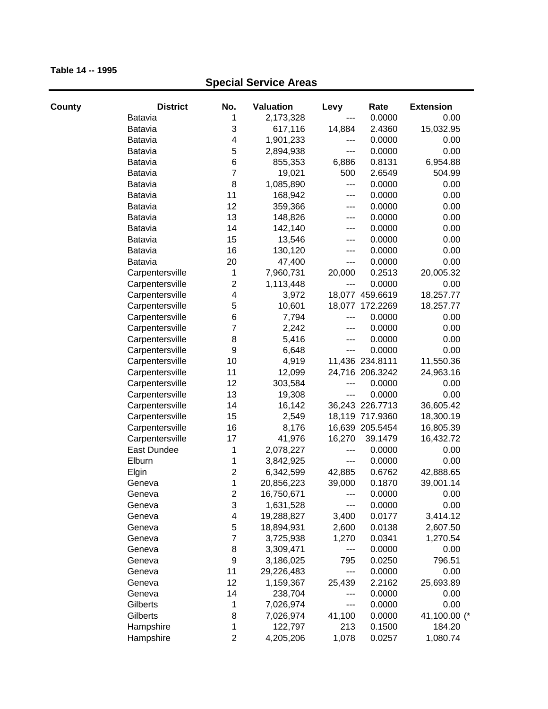| County | <b>District</b> | No.              | <b>Valuation</b> | Levy   | Rate            | <b>Extension</b> |
|--------|-----------------|------------------|------------------|--------|-----------------|------------------|
|        | <b>Batavia</b>  | 1                | 2,173,328        | ---    | 0.0000          | 0.00             |
|        | <b>Batavia</b>  | 3                | 617,116          | 14,884 | 2.4360          | 15,032.95        |
|        | <b>Batavia</b>  | 4                | 1,901,233        | ---    | 0.0000          | 0.00             |
|        | Batavia         | 5                | 2,894,938        | ---    | 0.0000          | 0.00             |
|        | <b>Batavia</b>  | 6                | 855,353          | 6,886  | 0.8131          | 6,954.88         |
|        | <b>Batavia</b>  | $\overline{7}$   | 19,021           | 500    | 2.6549          | 504.99           |
|        | <b>Batavia</b>  | 8                | 1,085,890        | ---    | 0.0000          | 0.00             |
|        | <b>Batavia</b>  | 11               | 168,942          | ---    | 0.0000          | 0.00             |
|        | <b>Batavia</b>  | 12               | 359,366          | ---    | 0.0000          | 0.00             |
|        | <b>Batavia</b>  | 13               | 148,826          | ---    | 0.0000          | 0.00             |
|        | Batavia         | 14               | 142,140          | ---    | 0.0000          | 0.00             |
|        | Batavia         | 15               | 13,546           | ---    | 0.0000          | 0.00             |
|        | Batavia         | 16               | 130,120          | ---    | 0.0000          | 0.00             |
|        | Batavia         | 20               | 47,400           | ---    | 0.0000          | 0.00             |
|        | Carpentersville | 1                | 7,960,731        | 20,000 | 0.2513          | 20,005.32        |
|        | Carpentersville | $\mathbf 2$      | 1,113,448        | ---    | 0.0000          | 0.00             |
|        | Carpentersville | 4                | 3,972            |        | 18,077 459.6619 | 18,257.77        |
|        | Carpentersville | 5                | 10,601           | 18,077 | 172.2269        | 18,257.77        |
|        | Carpentersville | 6                | 7,794            | ---    | 0.0000          | 0.00             |
|        | Carpentersville | 7                | 2,242            | ---    | 0.0000          | 0.00             |
|        | Carpentersville | 8                | 5,416            | ---    | 0.0000          | 0.00             |
|        | Carpentersville | 9                | 6,648            | ---    | 0.0000          | 0.00             |
|        | Carpentersville | 10               | 4,919            |        | 11,436 234.8111 | 11,550.36        |
|        | Carpentersville | 11               | 12,099           |        | 24,716 206.3242 | 24,963.16        |
|        | Carpentersville | 12               | 303,584          | ---    | 0.0000          | 0.00             |
|        | Carpentersville | 13               | 19,308           | ---    | 0.0000          | 0.00             |
|        | Carpentersville | 14               | 16,142           |        | 36,243 226.7713 | 36,605.42        |
|        | Carpentersville | 15               | 2,549            |        | 18,119 717.9360 | 18,300.19        |
|        | Carpentersville | 16               | 8,176            |        | 16,639 205.5454 | 16,805.39        |
|        | Carpentersville | 17               | 41,976           | 16,270 | 39.1479         | 16,432.72        |
|        | East Dundee     | 1                | 2,078,227        | ---    | 0.0000          | 0.00             |
|        | Elburn          | 1                | 3,842,925        | ---    | 0.0000          | 0.00             |
|        | Elgin           | $\boldsymbol{2}$ | 6,342,599        | 42,885 | 0.6762          | 42,888.65        |
|        | Geneva          | 1                | 20,856,223       | 39,000 | 0.1870          | 39,001.14        |
|        | Geneva          | $\overline{c}$   | 16,750,671       |        | 0.0000          | 0.00             |
|        | Geneva          | 3                | 1,631,528        | ---    | 0.0000          | 0.00             |
|        | Geneva          | 4                | 19,288,827       | 3,400  | 0.0177          | 3,414.12         |
|        | Geneva          | 5                | 18,894,931       | 2,600  | 0.0138          | 2,607.50         |
|        | Geneva          | $\overline{7}$   | 3,725,938        | 1,270  | 0.0341          | 1,270.54         |
|        | Geneva          | 8                | 3,309,471        | ---    | 0.0000          | 0.00             |
|        | Geneva          | 9                | 3,186,025        | 795    | 0.0250          | 796.51           |
|        | Geneva          | 11               | 29,226,483       | ---    | 0.0000          | 0.00             |
|        | Geneva          | 12               | 1,159,367        | 25,439 | 2.2162          | 25,693.89        |
|        | Geneva          | 14               | 238,704          | ---    | 0.0000          | 0.00             |
|        | Gilberts        | 1                | 7,026,974        | ---    | 0.0000          | 0.00             |
|        | Gilberts        | 8                | 7,026,974        | 41,100 | 0.0000          | 41,100.00 (*     |
|        | Hampshire       | 1                | 122,797          | 213    | 0.1500          | 184.20           |
|        | Hampshire       | $\overline{c}$   | 4,205,206        | 1,078  | 0.0257          | 1,080.74         |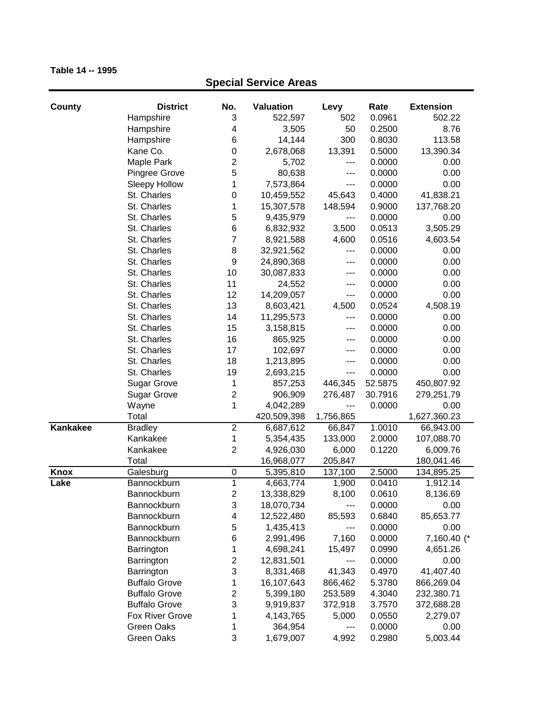| County   | <b>District</b>            | No.                     | <b>Valuation</b> | Levy             | Rate    | <b>Extension</b>        |
|----------|----------------------------|-------------------------|------------------|------------------|---------|-------------------------|
|          | Hampshire                  | 3                       | 522,597          | 502              | 0.0961  | 502.22                  |
|          | Hampshire                  | $\overline{\mathbf{4}}$ | 3,505            | 50               | 0.2500  | 8.76                    |
|          | Hampshire                  | 6                       | 14,144           | 300              | 0.8030  | 113.58                  |
|          | Kane Co.                   | $\mathbf 0$             | 2,678,068        | 13,391           | 0.5000  | 13,390.34               |
|          | Maple Park                 | $\mathbf 2$             | 5,702            | ---              | 0.0000  | 0.00                    |
|          | Pingree Grove              | 5                       | 80,638           | ---              | 0.0000  | 0.00                    |
|          | <b>Sleepy Hollow</b>       | 1                       | 7,573,864        | ---              | 0.0000  | 0.00                    |
|          | St. Charles                | $\mathbf 0$             | 10,459,552       | 45,643           | 0.4000  | 41,838.21               |
|          | St. Charles                | 1                       | 15,307,578       | 148,594          | 0.9000  | 137,768.20              |
|          | St. Charles                | 5                       | 9,435,979        | ---              | 0.0000  | 0.00                    |
|          | St. Charles                | 6                       | 6,832,932        | 3,500            | 0.0513  | 3,505.29                |
|          | St. Charles                | $\overline{7}$          | 8,921,588        | 4,600            | 0.0516  | 4,603.54                |
|          | St. Charles                | 8                       | 32,921,562       | ---              | 0.0000  | 0.00                    |
|          | St. Charles                | $\boldsymbol{9}$        | 24,890,368       | ---              | 0.0000  | 0.00                    |
|          | St. Charles                | 10                      | 30,087,833       | ---              | 0.0000  | 0.00                    |
|          | St. Charles                | 11                      | 24,552           | ---              | 0.0000  | 0.00                    |
|          | St. Charles                | 12                      | 14,209,057       | ---              | 0.0000  | 0.00                    |
|          | St. Charles                | 13                      | 8,603,421        | 4,500            | 0.0524  | 4,508.19                |
|          | St. Charles                | 14                      | 11,295,573       | ---              | 0.0000  | 0.00                    |
|          | St. Charles                | 15                      | 3,158,815        | ---              | 0.0000  | 0.00                    |
|          | St. Charles                | 16                      | 865,925          | ---              | 0.0000  | 0.00                    |
|          | St. Charles                | 17                      | 102,697          | ---              | 0.0000  | 0.00                    |
|          | St. Charles                | 18                      | 1,213,895        | ---              | 0.0000  | 0.00                    |
|          | St. Charles                | 19                      | 2,693,215        | ---              | 0.0000  | 0.00                    |
|          | <b>Sugar Grove</b>         | 1                       | 857,253          | 446,345          | 52.5875 | 450,807.92              |
|          | <b>Sugar Grove</b>         | $\mathbf 2$             | 906,909          | 276,487          | 30.7916 | 279,251.79              |
|          | Wayne                      | 1                       | 4,042,289        | ---              | 0.0000  | 0.00                    |
|          | Total                      |                         | 420,509,398      | 1,756,865        |         | 1,627,360.23            |
| Kankakee |                            | $\overline{2}$          | 6,687,612        | 66,847           | 1.0010  |                         |
|          | <b>Bradley</b><br>Kankakee | 1                       | 5,354,435        | 133,000          | 2.0000  | 66,943.00<br>107,088.70 |
|          | Kankakee                   | $\overline{2}$          |                  |                  | 0.1220  |                         |
|          | Total                      |                         | 4,926,030        | 6,000<br>205,847 |         | 6,009.76                |
|          |                            | $\mathbf 0$             | 16,968,077       |                  |         | 180,041.46              |
| Knox     | Galesburg                  | $\overline{1}$          | 5,395,810        | 137,100          | 2.5000  | 134,895.25              |
| Lake     | Bannockburn                |                         | 4,663,774        | 1,900            | 0.0410  | 1,912.14                |
|          | Bannockburn                | $\boldsymbol{2}$        | 13,338,829       | 8,100            | 0.0610  | 8,136.69                |
|          | Bannockburn                | 3                       | 18,070,734       | ---              | 0.0000  | 0.00                    |
|          | Bannockburn                | $\overline{\mathbf{4}}$ | 12,522,480       | 85,593           | 0.6840  | 85,653.77               |
|          | Bannockburn                | 5                       | 1,435,413        | ---              | 0.0000  | 0.00                    |
|          | Bannockburn                | $\,6$                   | 2,991,496        | 7,160            | 0.0000  | 7,160.40 (*             |
|          | Barrington                 | 1                       | 4,698,241        | 15,497           | 0.0990  | 4,651.26                |
|          | Barrington                 | $\boldsymbol{2}$        | 12,831,501       | ---              | 0.0000  | 0.00                    |
|          | Barrington                 | 3                       | 8,331,468        | 41,343           | 0.4970  | 41,407.40               |
|          | <b>Buffalo Grove</b>       | 1                       | 16,107,643       | 866,462          | 5.3780  | 866,269.04              |
|          | <b>Buffalo Grove</b>       | $\boldsymbol{2}$        | 5,399,180        | 253,589          | 4.3040  | 232,380.71              |
|          | <b>Buffalo Grove</b>       | 3                       | 9,919,837        | 372,918          | 3.7570  | 372,688.28              |
|          | Fox River Grove            | 1                       | 4,143,765        | 5,000            | 0.0550  | 2,279.07                |
|          | Green Oaks                 | 1                       | 364,954          | ---              | 0.0000  | 0.00                    |
|          | <b>Green Oaks</b>          | 3                       | 1,679,007        | 4,992            | 0.2980  | 5,003.44                |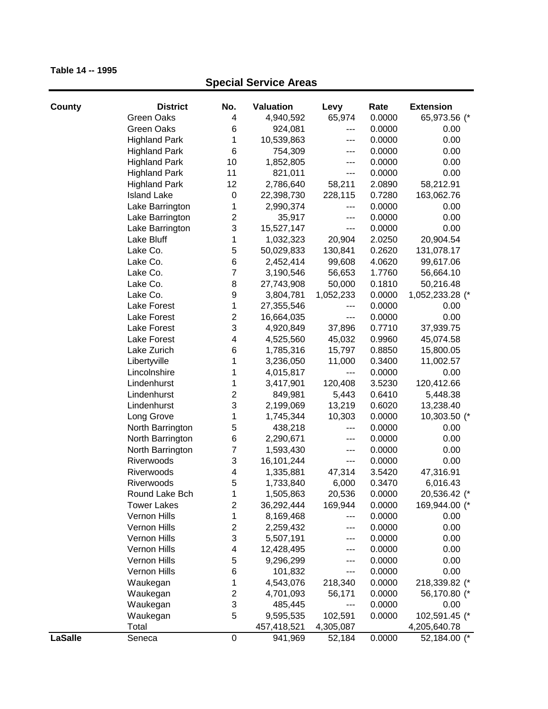| County  | <b>District</b>      | No.                     | Valuation   | Levy      | Rate   | <b>Extension</b>       |
|---------|----------------------|-------------------------|-------------|-----------|--------|------------------------|
|         | <b>Green Oaks</b>    | 4                       | 4,940,592   | 65,974    | 0.0000 | 65,973.56 (*           |
|         | <b>Green Oaks</b>    | 6                       | 924,081     | ---       | 0.0000 | 0.00                   |
|         | <b>Highland Park</b> | 1                       | 10,539,863  | ---       | 0.0000 | 0.00                   |
|         | <b>Highland Park</b> | 6                       | 754,309     | ---       | 0.0000 | 0.00                   |
|         | <b>Highland Park</b> | 10                      | 1,852,805   | ---       | 0.0000 | 0.00                   |
|         | <b>Highland Park</b> | 11                      | 821,011     | $---$     | 0.0000 | 0.00                   |
|         | <b>Highland Park</b> | 12                      | 2,786,640   | 58,211    | 2.0890 | 58,212.91              |
|         | <b>Island Lake</b>   | $\pmb{0}$               | 22,398,730  | 228,115   | 0.7280 | 163,062.76             |
|         | Lake Barrington      | 1                       | 2,990,374   | ---       | 0.0000 | 0.00                   |
|         | Lake Barrington      | 2                       | 35,917      | ---       | 0.0000 | 0.00                   |
|         | Lake Barrington      | 3                       | 15,527,147  | ---       | 0.0000 | 0.00                   |
|         | Lake Bluff           | 1                       | 1,032,323   | 20,904    | 2.0250 | 20,904.54              |
|         | Lake Co.             | 5                       | 50,029,833  | 130,841   | 0.2620 | 131,078.17             |
|         | Lake Co.             | 6                       | 2,452,414   | 99,608    | 4.0620 | 99,617.06              |
|         | Lake Co.             | $\overline{7}$          | 3,190,546   | 56,653    | 1.7760 | 56,664.10              |
|         | Lake Co.             | 8                       | 27,743,908  | 50,000    | 0.1810 | 50,216.48              |
|         | Lake Co.             | 9                       | 3,804,781   | 1,052,233 | 0.0000 | 1,052,233.28 (*        |
|         | Lake Forest          | 1                       | 27,355,546  | ---       | 0.0000 | 0.00                   |
|         | Lake Forest          | $\overline{\mathbf{c}}$ | 16,664,035  | $---$     | 0.0000 | 0.00                   |
|         | Lake Forest          | 3                       | 4,920,849   | 37,896    | 0.7710 | 37,939.75              |
|         | Lake Forest          | 4                       | 4,525,560   | 45,032    | 0.9960 | 45,074.58<br>15,800.05 |
|         | Lake Zurich          | 6                       | 1,785,316   | 15,797    | 0.8850 |                        |
|         | Libertyville         | 1                       | 3,236,050   | 11,000    | 0.3400 | 11,002.57              |
|         | Lincolnshire         | 1                       | 4,015,817   | ---       | 0.0000 | 0.00                   |
|         | Lindenhurst          | 1                       | 3,417,901   | 120,408   | 3.5230 | 120,412.66             |
|         | Lindenhurst          | $\overline{c}$          | 849,981     | 5,443     | 0.6410 | 5,448.38               |
|         | Lindenhurst          | 3                       | 2,199,069   | 13,219    | 0.6020 | 13,238.40              |
|         | Long Grove           | 1                       | 1,745,344   | 10,303    | 0.0000 | 10,303.50 (*           |
|         | North Barrington     | 5                       | 438,218     | $--$      | 0.0000 | 0.00                   |
|         | North Barrington     | $\,6$                   | 2,290,671   | ---       | 0.0000 | 0.00                   |
|         | North Barrington     | $\overline{7}$          | 1,593,430   | $--$      | 0.0000 | 0.00                   |
|         | Riverwoods           | 3                       | 16,101,244  | $---$     | 0.0000 | 0.00                   |
|         | Riverwoods           | 4                       | 1,335,881   | 47,314    | 3.5420 | 47,316.91              |
|         | Riverwoods           | 5                       | 1,733,840   | 6,000     | 0.3470 | 6,016.43               |
|         | Round Lake Bch       | 1                       | 1,505,863   | 20,536    | 0.0000 | 20,536.42 (*           |
|         | <b>Tower Lakes</b>   | 2                       | 36,292,444  | 169,944   | 0.0000 | 169,944.00 (*          |
|         | Vernon Hills         | 1                       | 8,169,468   | ---       | 0.0000 | 0.00                   |
|         | Vernon Hills         | 2                       | 2,259,432   | ---       | 0.0000 | 0.00                   |
|         | Vernon Hills         | 3                       | 5,507,191   | ---       | 0.0000 | 0.00                   |
|         | Vernon Hills         | 4                       | 12,428,495  | ---       | 0.0000 | 0.00                   |
|         | Vernon Hills         | 5                       | 9,296,299   | ---       | 0.0000 | 0.00                   |
|         | Vernon Hills         | $\,6$                   | 101,832     | ---       | 0.0000 | 0.00                   |
|         | Waukegan             | 1                       | 4,543,076   | 218,340   | 0.0000 | 218,339.82 (*          |
|         | Waukegan             | $\overline{\mathbf{c}}$ | 4,701,093   | 56,171    | 0.0000 | 56,170.80 (*           |
|         | Waukegan             | 3                       | 485,445     | ---       | 0.0000 | 0.00                   |
|         | Waukegan             | 5                       | 9,595,535   | 102,591   | 0.0000 | 102,591.45 (*          |
|         | Total                |                         | 457,418,521 | 4,305,087 |        | 4,205,640.78           |
| LaSalle | Seneca               | $\boldsymbol{0}$        | 941,969     | 52,184    | 0.0000 | 52,184.00 (*           |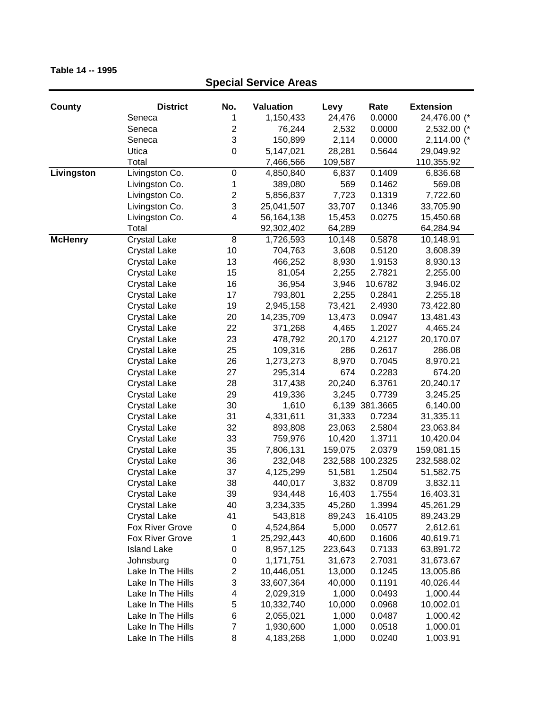### **County District No. Valuation Levy Rate Extension Special Service Areas** Seneca 1 1,150,433 24,476 0.0000 24,476.00 (\* Seneca 2 76,244 2,532 0.0000 2,532.00 (\* Seneca 3 150,899 2,114 0.0000 2,114.00 (\* Utica 0 5,147,021 28,281 0.5644 29,049.92 Total 7,466,566 109,587 110,355.92 **Livingston** Livingston Co. 0 4,850,840 6,837 0.1409 6,836.68 Livingston Co. 1 389,080 569 0.1462 569.08 Livingston Co. 2 5,856,837 7,723 0.1319 7,722.60 Livingston Co. 3 25,041,507 33,707 0.1346 33,705.90 Livingston Co. 4 56,164,138 15,453 0.0275 15,450.68 Total 92,302,402 64,289 64,284.94 **McHenry** Crystal Lake 8 1,726,593 10,148 0.5878 10,148.91 Crystal Lake 10 704,763 3,608 0.5120 3,608.39 Crystal Lake 13 466,252 8,930 1.9153 8,930.13 Crystal Lake 15 81,054 2,255 2.7821 2,255.00 Crystal Lake 16 36,954 3,946 10.6782 3,946.02 Crystal Lake 17 793,801 2,255 0.2841 2,255.18 Crystal Lake 19 2,945,158 73,421 2.4930 73,422.80 Crystal Lake 20 14,235,709 13,473 0.0947 13,481.43 Crystal Lake 22 371,268 4,465 1.2027 4,465.24 Crystal Lake 23 478,792 20,170 4.2127 20,170.07 Crystal Lake 25 109,316 286 0.2617 286.08 Crystal Lake 26 1,273,273 8,970 0.7045 8,970.21 Crystal Lake 27 295,314 674 0.2283 674.20 Crystal Lake 28 317,438 20,240 6.3761 20,240.17 Crystal Lake 29 419,336 3,245 0.7739 3,245.25 Crystal Lake 30 1,610 6,139 381.3665 6,140.00 Crystal Lake 31 4,331,611 31,333 0.7234 31,335.11 Crystal Lake 32 893,808 23,063 2.5804 23,063.84 Crystal Lake 33 759,976 10,420 1.3711 10,420.04 Crystal Lake 35 7,806,131 159,075 2.0379 159,081.15 Crystal Lake 36 232,048 232,588 100.2325 232,588.02 Crystal Lake 37 4,125,299 51,581 1.2504 51,582.75 Crystal Lake 38 440,017 3,832 0.8709 3,832.11 Crystal Lake 39 934,448 16,403 1.7554 16,403.31 Crystal Lake 40 3,234,335 45,260 1.3994 45,261.29 Crystal Lake 41 543,818 89,243 16.4105 89,243.29 Fox River Grove 0 4,524,864 5,000 0.0577 2,612.61 Fox River Grove 1 25,292,443 40,600 0.1606 40,619.71 Island Lake 0 8,957,125 223,643 0.7133 63,891.72 Johnsburg 0 1,171,751 31,673 2.7031 31,673.67 Lake In The Hills 2 10,446,051 13,000 0.1245 13,005.86 Lake In The Hills 3 33,607,364 40,000 0.1191 40,026.44 Lake In The Hills 4 2,029,319 1,000 0.0493 1,000.44 Lake In The Hills 5 10,332,740 10,000 0.0968 10,002.01 Lake In The Hills  $6$  2,055,021 1,000 0.0487 1,000.42 Lake In The Hills  $7$  1,930,600 1,000 0.0518 1,000.01

Lake In The Hills 8 4,183,268 1,000 0.0240 1,003.91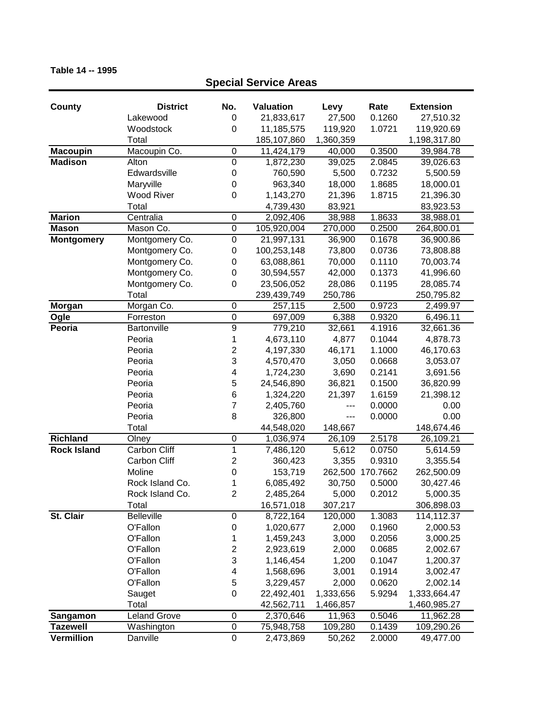### **County District No. Valuation Levy Rate Extension Special Service Areas** Lakewood 0 21,833,617 27,500 0.1260 27,510.32 Woodstock 0 11,185,575 119,920 1.0721 119,920.69 Total 185,107,860 1,360,359 1,198,317.80 **Macoupin** Macoupin Co. 0 11,424,179 40,000 0.3500 39,984.78 **Madison** Alton 0 1,872,230 39,025 2.0845 39,026.63 Edwardsville 0 760,590 5,500 0.7232 5,500.59 Maryville 0 963,340 18,000 1.8685 18,000.01 Wood River 0 1,143,270 21,396 1.8715 21,396.30 Total 63,923.53 **Marion** Centralia 0 2,092,406 38,988 1.8633 38,988.01 **Mason** Mason Co. 0 105,920,004 270,000 0.2500 264,800.01 **Montgomery** Montgomery Co. 0 21,997,131 36,900 0.1678 36,900.86 Montgomery Co. 0 100,253,148 73,800 0.0736 73,808.88 Montgomery Co. 0 63,088,861 70,000 0.1110 70,003.74 Montgomery Co. 0 30,594,557 42,000 0.1373 41,996.60 Montgomery Co. 0 23,506,052 28,086 0.1195 28,085.74 Total 239,439,749 250,786 250,795.82 **Morgan** Morgan Co. 0 257,115 2,500 0.9723 2,499.97 **Ogle** Forreston 0 697,009 6,388 0.9320 6,496.11 **Peoria** Bartonville 9 779,210 32,661 4.1916 32,661.36 Peoria 1 4,673,110 4,877 0.1044 4,878.73 Peoria 2 4,197,330 46,171 1.1000 46,170.63 Peoria 3 4,570,470 3,050 0.0668 3,053.07 Peoria 4 1,724,230 3,690 0.2141 3,691.56 Peoria 5 24,546,890 36,821 0.1500 36,820.99 Peoria 6 1,324,220 21,397 1.6159 21,398.12 Peoria 7 2,405,760 --- 0.0000 0.00 Peoria 8 326,800 --- 0.0000 0.00 Total 44,548,020 148,667 148,674.46 **Richland** Olney 0 1,036,974 26,109 2.5178 26,109.21 **Rock Island** Carbon Cliff 1 7,486,120 5,612 0.0750 5,614.59 Carbon Cliff 2 360,423 3,355 0.9310 3,355.54 Moline 0 153,719 262,500 170.7662 262,500.09 Rock Island Co. 1 6,085,492 30,750 0.5000 30,427.46 Rock Island Co. 2 2,485,264 5,000 0.2012 5,000.35 Total 16,571,018 307,217 306,898.03 **St. Clair** Belleville 0 8,722,164 120,000 1.3083 114,112.37 O'Fallon 0 1,020,677 2,000 0.1960 2,000.53 O'Fallon 1 1,459,243 3,000 0.2056 3,000.25 O'Fallon 2 2,923,619 2,000 0.0685 2,002.67 O'Fallon 3 1,146,454 1,200 0.1047 1,200.37 O'Fallon 4 1,568,696 3,001 0.1914 3,002.47 O'Fallon 5 3,229,457 2,000 0.0620 2,002.14 Sauget 0 22,492,401 1,333,656 5.9294 1,333,664.47 Total 1,460,985.27 1,466,857 1,460,985.27 **Sangamon** Leland Grove 0 2,370,646 11,963 0.5046 11,962.28 **Tazewell** Washington 0 75,948,758 109,280 0.1439 109,290.26 **Vermillion** Danville 0 2,473,869 50,262 2.0000 49,477.00